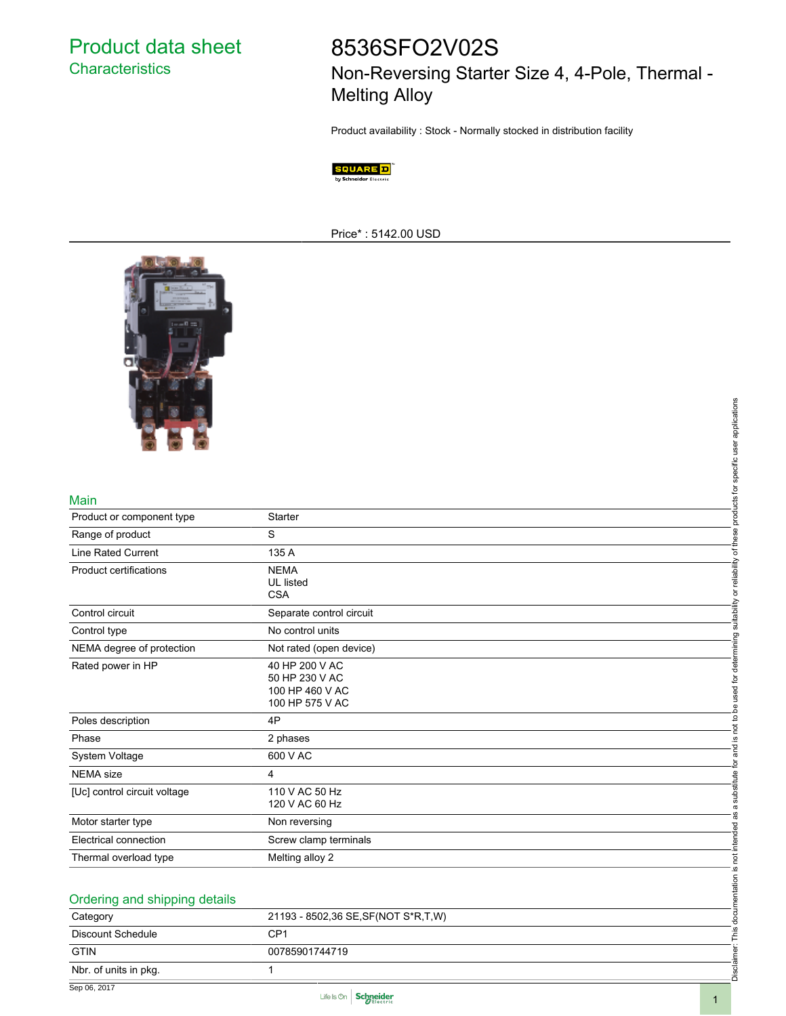Product data sheet **Characteristics** 

## 8536SFO2V02S

Non-Reversing Starter Size 4, 4-Pole, Thermal - Melting Alloy

Product availability : Stock - Normally stocked in distribution facility



Price\* : 5142.00 USD



## Main

|                               |                                                                        | and is not to be used for determining suitability or reliability of these products for specific user applications |  |
|-------------------------------|------------------------------------------------------------------------|-------------------------------------------------------------------------------------------------------------------|--|
|                               |                                                                        |                                                                                                                   |  |
|                               |                                                                        |                                                                                                                   |  |
| Main                          |                                                                        |                                                                                                                   |  |
| Product or component type     | <b>Starter</b>                                                         |                                                                                                                   |  |
| Range of product              | S                                                                      |                                                                                                                   |  |
| Line Rated Current            | 135 A                                                                  |                                                                                                                   |  |
| Product certifications        | <b>NEMA</b><br>UL listed<br><b>CSA</b>                                 |                                                                                                                   |  |
| Control circuit               | Separate control circuit                                               |                                                                                                                   |  |
| Control type                  | No control units                                                       |                                                                                                                   |  |
| NEMA degree of protection     | Not rated (open device)                                                |                                                                                                                   |  |
| Rated power in HP             | 40 HP 200 V AC<br>50 HP 230 V AC<br>100 HP 460 V AC<br>100 HP 575 V AC |                                                                                                                   |  |
| Poles description             | 4P                                                                     |                                                                                                                   |  |
| Phase                         | 2 phases                                                               |                                                                                                                   |  |
| System Voltage                | 600 V AC                                                               |                                                                                                                   |  |
| <b>NEMA</b> size              | 4                                                                      |                                                                                                                   |  |
| [Uc] control circuit voltage  | 110 V AC 50 Hz<br>120 V AC 60 Hz                                       | Disclaimer: This documentation is not intended as a substitute for                                                |  |
| Motor starter type            | Non reversing                                                          |                                                                                                                   |  |
| Electrical connection         | Screw clamp terminals                                                  |                                                                                                                   |  |
| Thermal overload type         | Melting alloy 2                                                        |                                                                                                                   |  |
|                               |                                                                        |                                                                                                                   |  |
| Ordering and shipping details |                                                                        |                                                                                                                   |  |
| Category                      | 21193 - 8502,36 SE, SF (NOT S*R, T, W)                                 |                                                                                                                   |  |
| <b>Discount Schedule</b>      | CP <sub>1</sub>                                                        |                                                                                                                   |  |
| <b>GTIN</b>                   | 00785901744719                                                         |                                                                                                                   |  |
| Nbr. of units in pkg.         | $\mathbf{1}$                                                           |                                                                                                                   |  |
|                               |                                                                        |                                                                                                                   |  |

| Ordering and shipping details |                                        |  |
|-------------------------------|----------------------------------------|--|
| Category                      | 21193 - 8502,36 SE, SF (NOT S*R, T, W) |  |
| Discount Schedule             | CP1                                    |  |
| <b>GTIN</b>                   | 00785901744719                         |  |
| Nbr. of units in pkg.         |                                        |  |